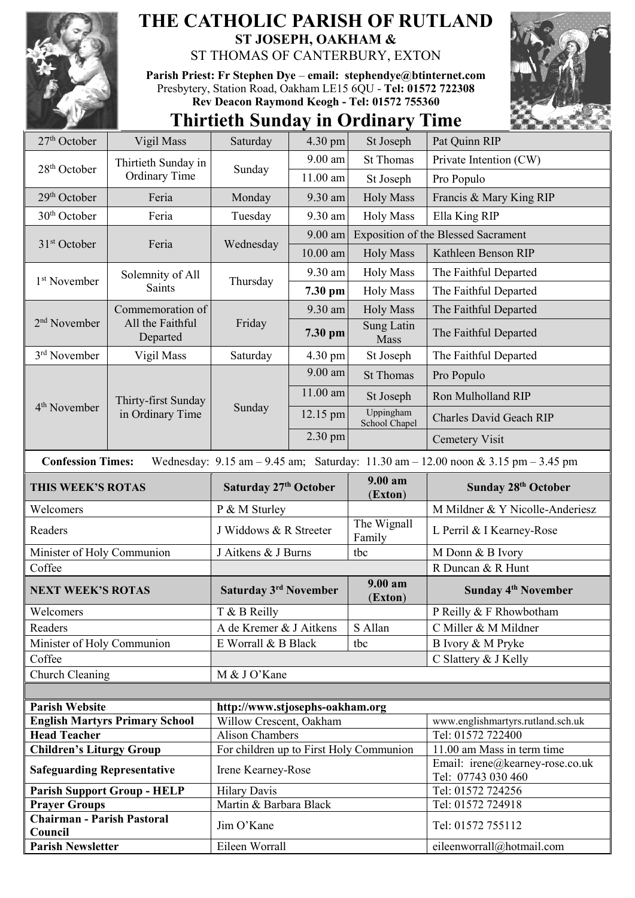

## **THE CATHOLIC PARISH OF RUTLAND ST JOSEPH, OAKHAM &**  ST THOMAS OF CANTERBURY, EXTON

**Parish Priest: Fr Stephen Dye** – **[email: stephendye@btinternet.com](mailto:email:%20%20stephendye@btinternet.com)** Presbytery, Station Road, Oakham LE15 6QU - **Tel: 01572 722308 Rev Deacon Raymond Keogh - Tel: 01572 755360**



## **Thirtieth Sunday in Ordinary Time**

| 27 <sup>th</sup> October                                                                                                                                            | Vigil Mass                                       | Saturday                                | 4.30 pm    | St Joseph                  | Pat Quinn RIP                                         |  |
|---------------------------------------------------------------------------------------------------------------------------------------------------------------------|--------------------------------------------------|-----------------------------------------|------------|----------------------------|-------------------------------------------------------|--|
|                                                                                                                                                                     | Thirtieth Sunday in                              | Sunday                                  | 9.00 am    | <b>St Thomas</b>           | Private Intention (CW)                                |  |
| 28 <sup>th</sup> October                                                                                                                                            | <b>Ordinary Time</b>                             |                                         | 11.00 am   | St Joseph                  | Pro Populo                                            |  |
| 29 <sup>th</sup> October                                                                                                                                            | Feria                                            | Monday                                  | 9.30 am    | <b>Holy Mass</b>           | Francis & Mary King RIP                               |  |
| 30 <sup>th</sup> October                                                                                                                                            | Feria                                            | Tuesday                                 | 9.30 am    | <b>Holy Mass</b>           | Ella King RIP                                         |  |
| 31 <sup>st</sup> October                                                                                                                                            | Feria                                            | Wednesday                               | 9.00 am    |                            | <b>Exposition of the Blessed Sacrament</b>            |  |
|                                                                                                                                                                     |                                                  |                                         | $10.00$ am | <b>Holy Mass</b>           | Kathleen Benson RIP                                   |  |
|                                                                                                                                                                     | Solemnity of All<br><b>Saints</b>                | Thursday                                | 9.30 am    | <b>Holy Mass</b>           | The Faithful Departed                                 |  |
| 1 <sup>st</sup> November                                                                                                                                            |                                                  |                                         | 7.30 pm    | <b>Holy Mass</b>           | The Faithful Departed                                 |  |
|                                                                                                                                                                     | Commemoration of<br>All the Faithful<br>Departed | Friday                                  | 9.30 am    | <b>Holy Mass</b>           | The Faithful Departed                                 |  |
| 2 <sup>nd</sup> November                                                                                                                                            |                                                  |                                         | 7.30 pm    | Sung Latin<br>Mass         | The Faithful Departed                                 |  |
| 3rd November                                                                                                                                                        | Vigil Mass                                       | Saturday                                | 4.30 pm    | St Joseph                  | The Faithful Departed                                 |  |
|                                                                                                                                                                     | Thirty-first Sunday<br>in Ordinary Time          | Sunday                                  | 9.00 am    | <b>St Thomas</b>           | Pro Populo                                            |  |
|                                                                                                                                                                     |                                                  |                                         | 11.00 am   | St Joseph                  | Ron Mulholland RIP                                    |  |
| 4 <sup>th</sup> November                                                                                                                                            |                                                  |                                         | 12.15 pm   | Uppingham<br>School Chapel | Charles David Geach RIP                               |  |
|                                                                                                                                                                     |                                                  |                                         | 2.30 pm    |                            | <b>Cemetery Visit</b>                                 |  |
| <b>Confession Times:</b><br>Wednesday: $9.15 \text{ am} - 9.45 \text{ am}$ ; Saturday: $11.30 \text{ am} - 12.00 \text{ noon} \& 3.15 \text{ pm} - 3.45 \text{ pm}$ |                                                  |                                         |            |                            |                                                       |  |
| THIS WEEK'S ROTAS                                                                                                                                                   |                                                  | Saturday 27th October                   |            | $9.00 a$ m                 |                                                       |  |
|                                                                                                                                                                     |                                                  |                                         |            |                            | Sunday 28th October                                   |  |
| Welcomers                                                                                                                                                           |                                                  | P & M Sturley                           |            | (Exton)                    | M Mildner & Y Nicolle-Anderiesz                       |  |
| Readers                                                                                                                                                             |                                                  | J Widdows & R Streeter                  |            | The Wignall<br>Family      | L Perril & I Kearney-Rose                             |  |
| Minister of Holy Communion                                                                                                                                          |                                                  | J Aitkens & J Burns                     |            | tbc                        | M Donn & B Ivory                                      |  |
| Coffee                                                                                                                                                              |                                                  |                                         |            |                            | R Duncan & R Hunt                                     |  |
| <b>NEXT WEEK'S ROTAS</b>                                                                                                                                            |                                                  | Saturday 3 <sup>rd</sup> November       |            | 9.00 am<br>(Exton)         | <b>Sunday 4th November</b>                            |  |
| Welcomers                                                                                                                                                           |                                                  | T & B Reilly                            |            |                            | P Reilly & F Rhowbotham                               |  |
| Readers                                                                                                                                                             |                                                  | A de Kremer & J Aitkens                 |            | S Allan                    | C Miller & M Mildner                                  |  |
| Minister of Holy Communion                                                                                                                                          |                                                  | E Worrall & B Black                     |            | tbc                        | B Ivory & M Pryke                                     |  |
| Coffee                                                                                                                                                              |                                                  |                                         |            |                            | C Slattery & J Kelly                                  |  |
| Church Cleaning                                                                                                                                                     |                                                  | M & J O'Kane                            |            |                            |                                                       |  |
|                                                                                                                                                                     |                                                  |                                         |            |                            |                                                       |  |
| <b>Parish Website</b>                                                                                                                                               |                                                  | http://www.stjosephs-oakham.org         |            |                            |                                                       |  |
|                                                                                                                                                                     | <b>English Martyrs Primary School</b>            | Willow Crescent, Oakham                 |            |                            | www.englishmartyrs.rutland.sch.uk                     |  |
| <b>Head Teacher</b>                                                                                                                                                 |                                                  | <b>Alison Chambers</b>                  |            |                            | Tel: 01572 722400                                     |  |
| <b>Children's Liturgy Group</b>                                                                                                                                     |                                                  | For children up to First Holy Communion |            |                            | 11.00 am Mass in term time                            |  |
| <b>Safeguarding Representative</b>                                                                                                                                  |                                                  | Irene Kearney-Rose                      |            |                            | Email: irene@kearney-rose.co.uk<br>Tel: 07743 030 460 |  |
|                                                                                                                                                                     | <b>Parish Support Group - HELP</b>               | <b>Hilary Davis</b>                     |            |                            | Tel: 01572 724256                                     |  |
| <b>Prayer Groups</b>                                                                                                                                                |                                                  | Martin & Barbara Black                  |            |                            | Tel: 01572 724918                                     |  |
| <b>Chairman - Parish Pastoral</b><br>Council                                                                                                                        |                                                  | Jim O'Kane                              |            |                            | Tel: 01572 755112                                     |  |